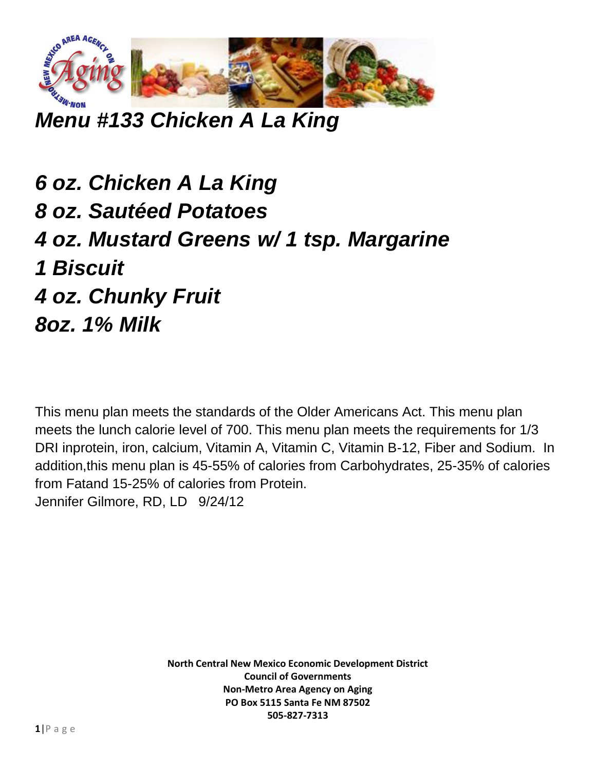

*Menu #133 Chicken A La King*

*6 oz. Chicken A La King 8 oz. Sautéed Potatoes 4 oz. Mustard Greens w/ 1 tsp. Margarine 1 Biscuit 4 oz. Chunky Fruit 8oz. 1% Milk*

This menu plan meets the standards of the Older Americans Act. This menu plan meets the lunch calorie level of 700. This menu plan meets the requirements for 1/3 DRI inprotein, iron, calcium, Vitamin A, Vitamin C, Vitamin B-12, Fiber and Sodium. In addition,this menu plan is 45-55% of calories from Carbohydrates, 25-35% of calories from Fatand 15-25% of calories from Protein. Jennifer Gilmore, RD, LD 9/24/12

> **North Central New Mexico Economic Development District Council of Governments Non-Metro Area Agency on Aging PO Box 5115 Santa Fe NM 87502 505-827-7313**